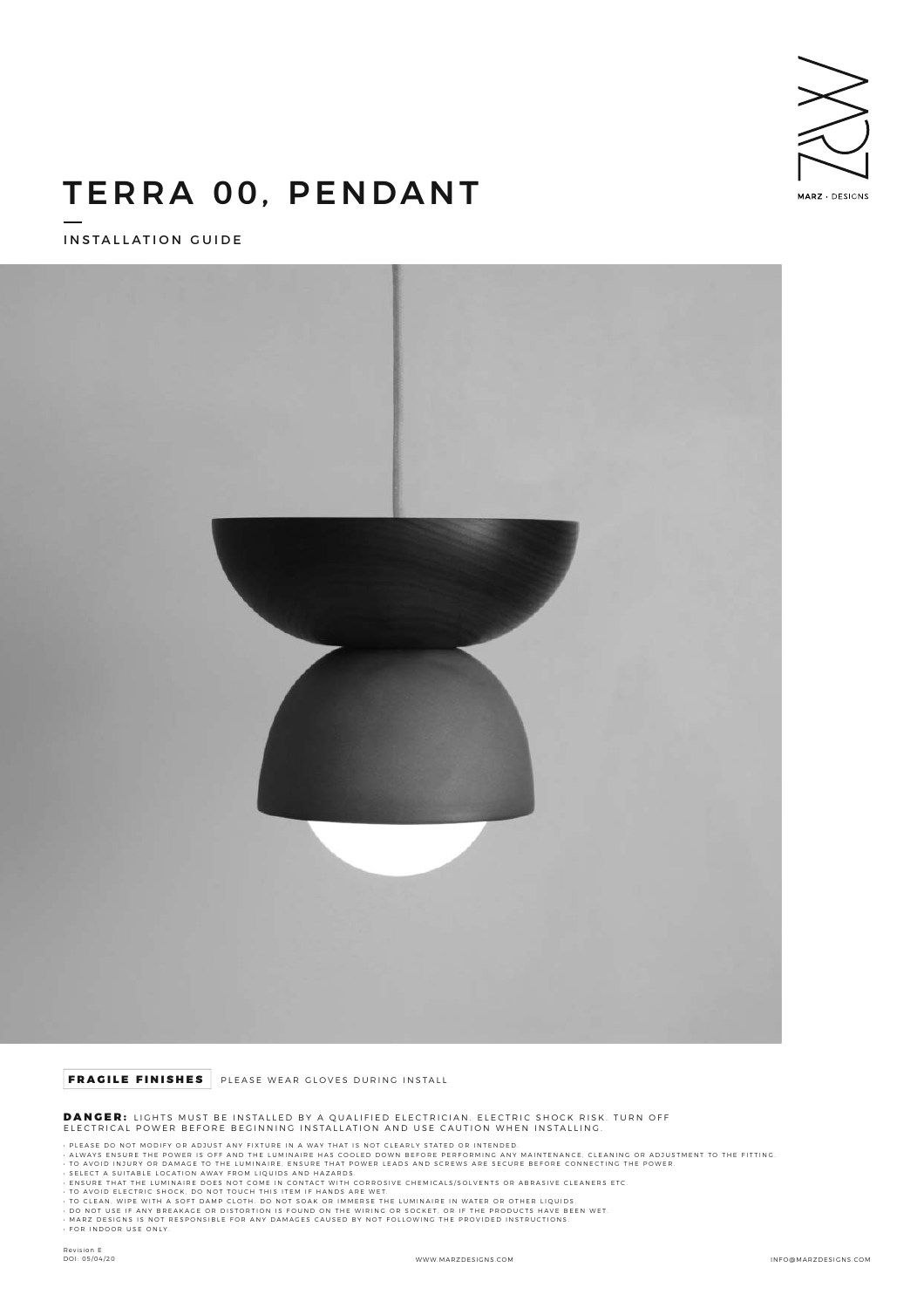

# TERRA 00, PENDANT

INSTALLATION GUIDE



## FRAGILE FINISHES PLEASE WEAR GLOVES DURING INSTALL

DANGER: LIGHTS MUST BE INSTALLED BY A QUALIFIED ELECTRICIAN. ELECTRIC SHOCK RISK. TURN OFF ELECTRICAL POWER BEFORE BEGINNING INSTALLATION AND USE CAUTION WHEN INSTALLING.

- 
- PLEASE DO NOT MODIFY OR ADJUST ANY FIXTURE IN A WAY THAT IS NOT CLEARLY STATED OR INTENDED.<br>- ALWAYS ENSURE THE POWER IS OFF AND THE LUMINAIRE HAS COOLED DOWN BEFORE PERFORMING ANY MAINTENANCE, CLEANING OR ADJUSTMENT TO
- 
- 
- 
- 
-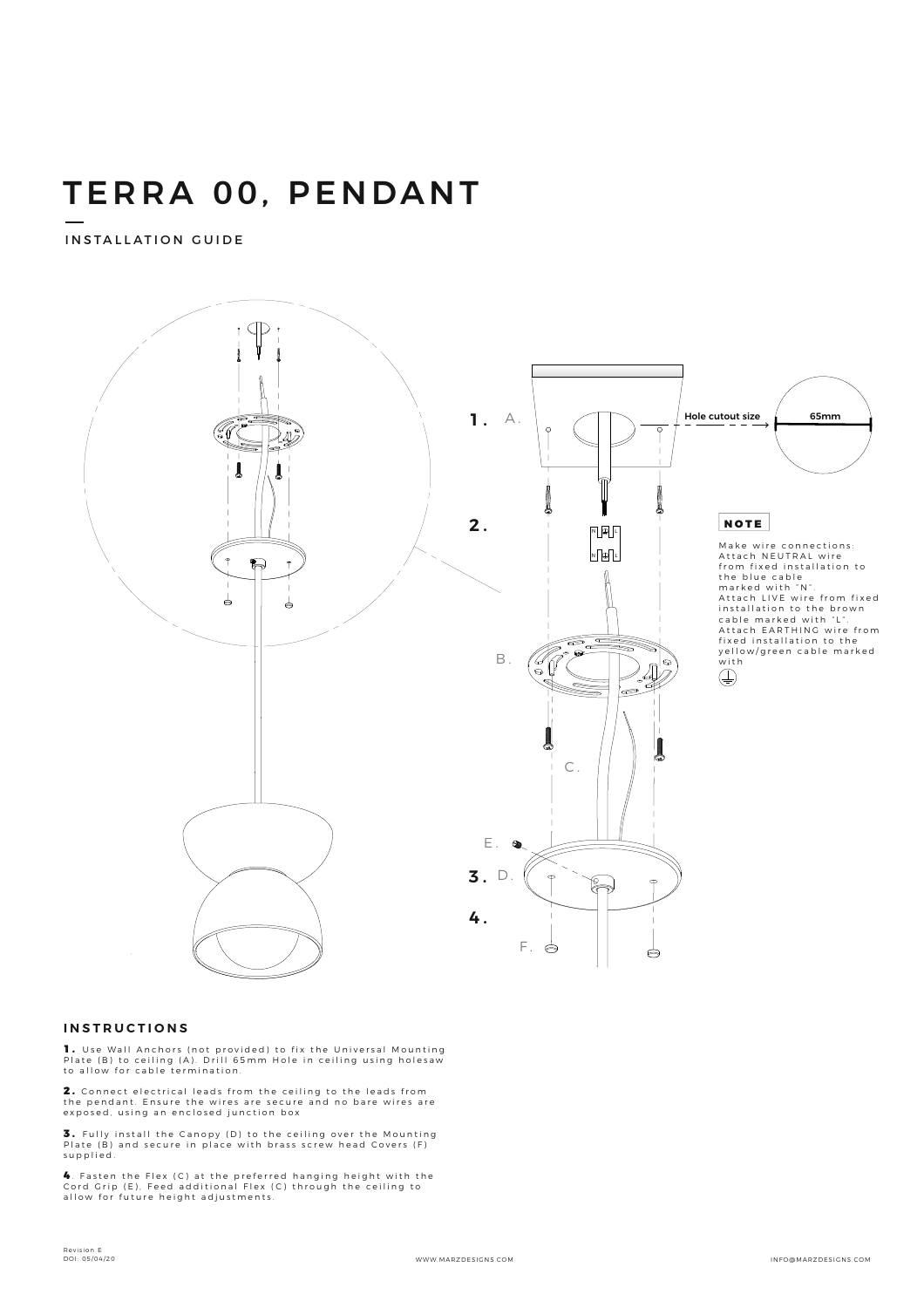# TERRA 00, PENDANT

INSTALLATION GUIDE



#### **INSTRUCTIONS**

**1.** Use Wall Anchors (not provided) to fix the Universal Mounting<br>Plate (B) to ceiling (A). Drill 65mm Hole in ceiling using holesaw<br>to allow for cable termination.

**2.** Connect electrical leads from the ceiling to the leads from<br>the pendant. Ensure the wires are secure and no bare wires are<br>exposed, using an enclosed junction box

**3.** Fully install the Canopy (D) to the ceiling over the Mounting<br>Plate (B) and secure in place with brass screw head Covers (F) supplied.

4. Fasten the Flex (C) at the preferred hanging height with the<br>Cord Grip (E). Feed additional Flex (C) through the ceiling to<br>allow for future height adjustments.